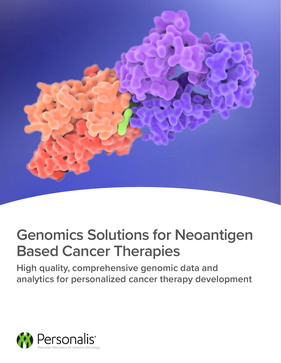

# **Genomics Solutions for Neoantigen Based Cancer Therapies**

**High quality, comprehensive genomic data and analytics for personalized cancer therapy development**

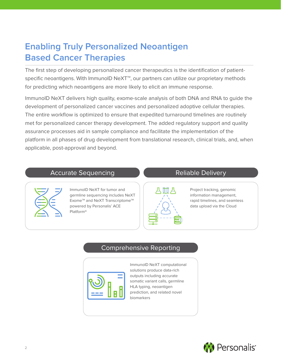# **Enabling Truly Personalized Neoantigen Based Cancer Therapies**

The first step of developing personalized cancer therapeutics is the identification of patientspecific neoantigens. With ImmunoID NeXT<sup>™</sup>, our partners can utilize our proprietary methods for predicting which neoantigens are more likely to elicit an immune response.

ImmunoID NeXT delivers high quality, exome-scale analysis of both DNA and RNA to guide the development of personalized cancer vaccines and personalized adoptive cellular therapies. The entire workflow is optimized to ensure that expedited turnaround timelines are routinely met for personalized cancer therapy development. The added regulatory support and quality assurance processes aid in sample compliance and facilitate the implementation of the platform in all phases of drug development from translational research, clinical trials, and, when applicable, post-approval and beyond.

### Accurate Sequencing



ImmunoID NeXT for tumor and germline sequencing includes NeXT Exome™ and NeXT Transcriptome™ powered by Personalis' ACE Platform®

# Reliable Delivery



Project tracking, genomic information management, rapid timelines, and seamless data upload via the Cloud

# Comprehensive Reporting

| H |  |
|---|--|

ImmunoID NeXT computational solutions produce data-rich outputs including accurate somatic variant calls, germline HLA typing, neoantigen prediction, and related novel biomarkers

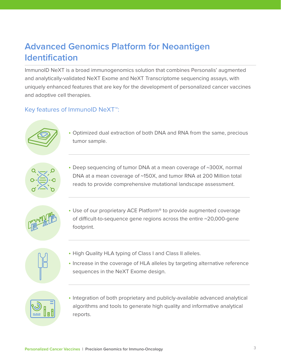# **Advanced Genomics Platform for Neoantigen Identification**

ImmunoID NeXT is a broad immunogenomics solution that combines Personalis' augmented and analytically-validated NeXT Exome and NeXT Transcriptome sequencing assays, with uniquely enhanced features that are key for the development of personalized cancer vaccines and adoptive cell therapies.

# Key features of ImmunoID NeXT™:



• Optimized dual extraction of both DNA and RNA from the same, precious tumor sample.



• Deep sequencing of tumor DNA at a mean coverage of ~300X, normal DNA at a mean coverage of ~150X, and tumor RNA at 200 Million total reads to provide comprehensive mutational landscape assessment.



• Use of our proprietary ACE Platform<sup>®</sup> to provide augmented coverage of difficult-to-sequence gene regions across the entire ~20,000-gene footprint.



- High Quality HLA typing of Class I and Class II alleles.
- Increase in the coverage of HLA alleles by targeting alternative reference sequences in the NeXT Exome design.



• Integration of both proprietary and publicly-available advanced analytical algorithms and tools to generate high quality and informative analytical reports.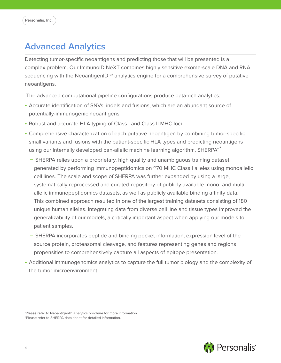# **Advanced Analytics**

Detecting tumor-specific neoantigens and predicting those that will be presented is a complex problem. Our ImmunoID NeXT combines highly sensitive exome-scale DNA and RNA sequencing with the NeoantigenID™<sup>†</sup> analytics engine for a comprehensive survey of putative neoantigens.

The advanced computational pipeline configurations produce data-rich analytics:

- Accurate identification of SNVs, indels and fusions, which are an abundant source of potentially-immunogenic neoantigens
- Robust and accurate HLA typing of Class I and Class II MHC loci
- Comprehensive characterization of each putative neoantigen by combining tumor-specific small variants and fusions with the patient-specific HLA types and predicting neoantigens using our internally developed pan-allelic machine learning algorithm, SHERPA<sup>™\*</sup>
	- − SHERPA relies upon a proprietary, high quality and unambiguous training dataset generated by performing immunopeptidomics on ~70 MHC Class I alleles using monoallelic cell lines. The scale and scope of SHERPA was further expanded by using a large, systematically reprocessed and curated repository of publicly available mono- and multiallelic immunopeptidomics datasets, as well as publicly available binding affinity data. This combined approach resulted in one of the largest training datasets consisting of 180 unique human alleles. Integrating data from diverse cell line and tissue types improved the generalizability of our models, a critically important aspect when applying our models to patient samples.
	- − SHERPA incorporates peptide and binding pocket information, expression level of the source protein, proteasomal cleavage, and features representing genes and regions propensities to comprehensively capture all aspects of epitope presentation.
- Additional immunogenomics analytics to capture the full tumor biology and the complexity of the tumor microenvironment

†Please refer to NeoantigenID Analytics brochure for more information. \*Please refer to SHERPA data sheet for detailed information.

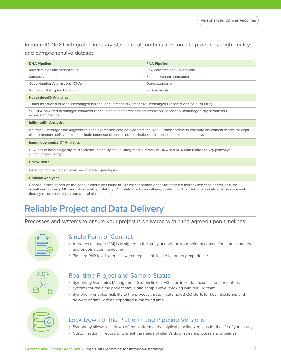ImmunoID NeXT integrates industry-standard algorithms and tools to produce a high quality and comprehensive dataset:

| <b>DNA Pipeline</b>                                                                                        | <b>RNA Pipeline</b>              |  |
|------------------------------------------------------------------------------------------------------------|----------------------------------|--|
| Raw data files and variant calls                                                                           | Raw data files and variant calls |  |
| Somatic variant annotation                                                                                 | Somatic variant annotation       |  |
| Copy Number Alternations (CNA)                                                                             | Gene expression                  |  |
| Germline HLA typing by allele                                                                              | Fusion events                    |  |
| <b>NeoantigenID Analytics</b>                                                                              |                                  |  |
| Tumor mutational burden, Neoantigen burden, and Personalis Composite Neoantigen Presentation Score (NEOPS) |                                  |  |

SHERPA-powered neoantigen characterization, binding and presentation prediction, secondary immunogenicity parameters, expression metrics

#### **InfiltrateID™ Analytics**

InfiltrateID leverages the augmented gene expression data derived from the NeXT Transcriptome to compute enrichment scores for eight distinct immune cell types from a single tumor specimen, using the single-sample gene set enrichment analysis.

#### **ImmunogenomicsID™ Analytics**

HLA loss of heterozygosity, Microsatellite instability status, Integrated summary of DNA and RNA data related to key pathways in immuno-oncology

#### **Oncoviruses**

Detection of the main oncoviruses and their genotypes

#### **Optional Analytics**

Optional clinical report on the genetic alterations found in 247 cancer-related genes for targeted therapy selection as well as tumor mutational burden (TMB) and microsatellite instability (MSI) status for immunotherapy selection. The clinical report also delivers relevant therapy recommendations and clinical trial matches.

# **Reliable Project and Data Delivery**

Processes and systems to ensure your project is delivered within the agreed upon timelines:



### Single Point of Contact

- A project manager (PM) is assigned to the study and will be your point of contact for status updates and ongoing communication
- PMs are PhD-level scientists with deep scientific and laboratory experience



### Real-time Project and Sample Status

- Symphony Genomics Management System links LIMS, pipelines, databases, and other internal systems for real-time project status and sample-level tracking with our PM team
- Symphony enables visibility to the process through automated QC alerts for key milestones and delivery of data with an expedited turnaround time



### Lock Down of the Platform and Pipeline Versions

- Symphony allows lock down of the platform and analytical pipeline versions for the life of your study
- Customization in reporting to meet the needs of client's downstream process and pipelines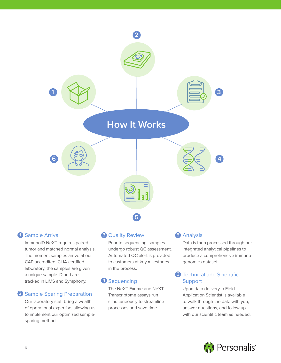

# Sample Arrival

ImmunoID NeXT requires paired ImmunoID NeXT requires paired tumor and matched normal tumor and matched normal analysis. analysis. The moment samples The moment samples arrive at our moment sumples unive at o CAP-accredited, CLIA-certified laboratory, the samples are given a unique sample ID and are tracked in LIMS and Symphony.

# 2. Sample Sparing Preparation **2** Sample Sparing Preparation

Our laboratory staff bring a wealth simultaneously to streamlir of operational expertise, allowing of operational expertise, allowing us to implement our optimized samplesparing method.

# **1 Sample Arrival <b>3** Quality Review **5**

Prior to sequencing, samples Prior to sequencing, samples undergo robust QC assessment. undergo robust QC assessment. automated automated automated to all alertic in the second to the second to the second to the second to the se Automated QC alert is provided to customers at key milestones in the process.

# **4** Sequencing

The NeXT Exome and NeXT Transcriptome assays run simultaneously to streamline processes and save time.

# 5. Analysis Analysis

Data is then processed through Data is then processed through our integrated analytical pipelines to produce a comprehensive is produce a comprehensive immunogenomics dataset.

#### echnical and Scientific  $S$ upport **6** Technical and Scientific

Upon data delivery, a Field Application Scientist is available to walk through the data with you, answer questions, and follow up with our scientific team as needed.

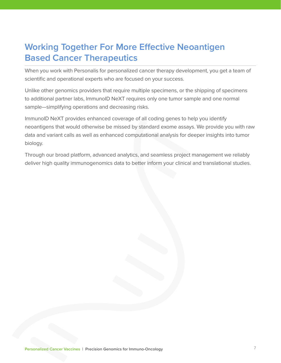# **Working Together For More Effective Neoantigen Based Cancer Therapeutics**

When you work with Personalis for personalized cancer therapy development, you get a team of scientific and operational experts who are focused on your success.

Unlike other genomics providers that require multiple specimens, or the shipping of specimens to additional partner labs, ImmunoID NeXT requires only one tumor sample and one normal sample—simplifying operations and decreasing risks.

ImmunoID NeXT provides enhanced coverage of all coding genes to help you identify neoantigens that would otherwise be missed by standard exome assays. We provide you with raw data and variant calls as well as enhanced computational analysis for deeper insights into tumor biology.

Through our broad platform, advanced analytics, and seamless project management we reliably deliver high quality immunogenomics data to better inform your clinical and translational studies.